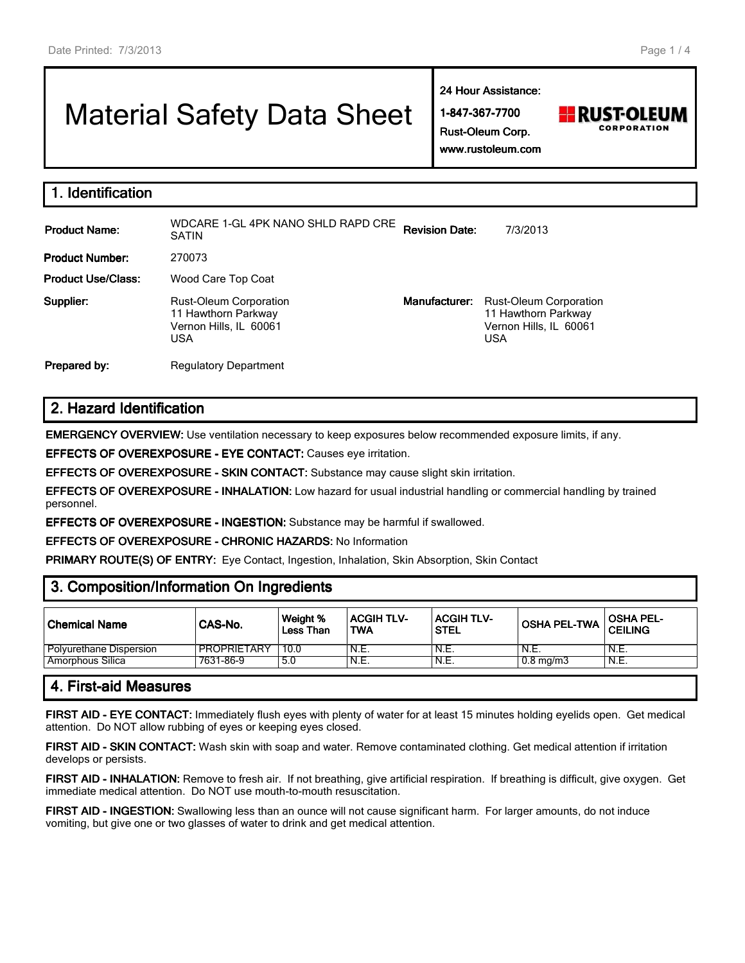# Material Safety Data Sheet

**24 Hour Assistance:**

**1-847-367-7700 Rust-Oleum Corp.**



**www.rustoleum.com**

| 1. Identification |  |
|-------------------|--|
|-------------------|--|

| <b>Product Name:</b>      | WDCARE 1-GL 4PK NANO SHLD RAPD CRE<br>SATIN                                           | <b>Revision Date:</b> | 7/3/2013                                                                              |
|---------------------------|---------------------------------------------------------------------------------------|-----------------------|---------------------------------------------------------------------------------------|
| <b>Product Number:</b>    | 270073                                                                                |                       |                                                                                       |
| <b>Product Use/Class:</b> | Wood Care Top Coat                                                                    |                       |                                                                                       |
| Supplier:                 | <b>Rust-Oleum Corporation</b><br>11 Hawthorn Parkway<br>Vernon Hills, IL 60061<br>USA | Manufacturer:         | <b>Rust-Oleum Corporation</b><br>11 Hawthorn Parkway<br>Vernon Hills, IL 60061<br>USA |
| Prepared by:              | <b>Regulatory Department</b>                                                          |                       |                                                                                       |

# **2. Hazard Identification**

**EMERGENCY OVERVIEW:** Use ventilation necessary to keep exposures below recommended exposure limits, if any.

**EFFECTS OF OVEREXPOSURE - EYE CONTACT:** Causes eye irritation.

**EFFECTS OF OVEREXPOSURE - SKIN CONTACT:** Substance may cause slight skin irritation.

**EFFECTS OF OVEREXPOSURE - INHALATION:** Low hazard for usual industrial handling or commercial handling by trained personnel.

**EFFECTS OF OVEREXPOSURE - INGESTION:** Substance may be harmful if swallowed.

**EFFECTS OF OVEREXPOSURE - CHRONIC HAZARDS:** No Information

**PRIMARY ROUTE(S) OF ENTRY:** Eye Contact, Ingestion, Inhalation, Skin Absorption, Skin Contact

# **3. Composition/Information On Ingredients**

| Chemical Name           | CAS-No.            | Weight %<br>Less Than | <b>ACGIH TLV-</b><br><b>TWA</b> | ACGIH TLV-<br><b>STEL</b> | <b>OSHA PEL-TWA</b> | <b>OSHA PEL-</b><br><b>CEILING</b> |
|-------------------------|--------------------|-----------------------|---------------------------------|---------------------------|---------------------|------------------------------------|
| Polyurethane Dispersion | <b>PROPRIETARY</b> | 10.0                  | 'N.E.                           | `N.E.                     | N.E.                | N.E.                               |
| Amorphous Silica        | 7631-86-9          | 5.0                   | 'N.E.                           | N.E.                      | $0.8 \text{ mg/m}$  | N.E.                               |

# **4. First-aid Measures**

**FIRST AID - EYE CONTACT:** Immediately flush eyes with plenty of water for at least 15 minutes holding eyelids open. Get medical attention. Do NOT allow rubbing of eyes or keeping eyes closed.

**FIRST AID - SKIN CONTACT:** Wash skin with soap and water. Remove contaminated clothing. Get medical attention if irritation develops or persists.

**FIRST AID - INHALATION:** Remove to fresh air. If not breathing, give artificial respiration. If breathing is difficult, give oxygen. Get immediate medical attention. Do NOT use mouth-to-mouth resuscitation.

**FIRST AID - INGESTION:** Swallowing less than an ounce will not cause significant harm. For larger amounts, do not induce vomiting, but give one or two glasses of water to drink and get medical attention.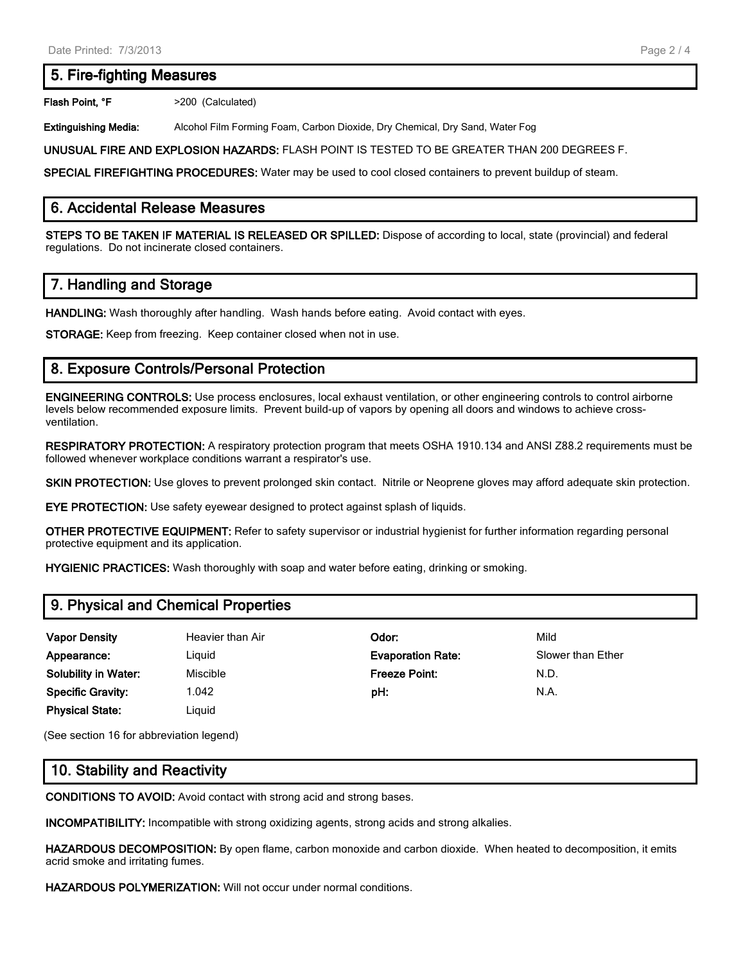## **5. Fire-fighting Measures**

Flash Point, °F  $>200$  (Calculated)

**Extinguishing Media:** Alcohol Film Forming Foam, Carbon Dioxide, Dry Chemical, Dry Sand, Water Fog

**UNUSUAL FIRE AND EXPLOSION HAZARDS:** FLASH POINT IS TESTED TO BE GREATER THAN 200 DEGREES F.

**SPECIAL FIREFIGHTING PROCEDURES:** Water may be used to cool closed containers to prevent buildup of steam.

### **6. Accidental Release Measures**

**STEPS TO BE TAKEN IF MATERIAL IS RELEASED OR SPILLED:** Dispose of according to local, state (provincial) and federal regulations. Do not incinerate closed containers.

# **7. Handling and Storage**

**HANDLING:** Wash thoroughly after handling. Wash hands before eating. Avoid contact with eyes.

**STORAGE:** Keep from freezing. Keep container closed when not in use.

# **8. Exposure Controls/Personal Protection**

**ENGINEERING CONTROLS:** Use process enclosures, local exhaust ventilation, or other engineering controls to control airborne levels below recommended exposure limits. Prevent build-up of vapors by opening all doors and windows to achieve crossventilation.

**RESPIRATORY PROTECTION:** A respiratory protection program that meets OSHA 1910.134 and ANSI Z88.2 requirements must be followed whenever workplace conditions warrant a respirator's use.

**SKIN PROTECTION:** Use gloves to prevent prolonged skin contact. Nitrile or Neoprene gloves may afford adequate skin protection.

**EYE PROTECTION:** Use safety eyewear designed to protect against splash of liquids.

**OTHER PROTECTIVE EQUIPMENT:** Refer to safety supervisor or industrial hygienist for further information regarding personal protective equipment and its application.

**HYGIENIC PRACTICES:** Wash thoroughly with soap and water before eating, drinking or smoking.

# **9. Physical and Chemical Properties**

| <b>Vapor Density</b>        | Heavier than Air | Odor:                    | Mild              |
|-----------------------------|------------------|--------------------------|-------------------|
| Appearance:                 | Liguid           | <b>Evaporation Rate:</b> | Slower than Ether |
| <b>Solubility in Water:</b> | Miscible         | <b>Freeze Point:</b>     | N.D.              |
| <b>Specific Gravity:</b>    | 1.042            | pH:                      | N.A.              |
| <b>Physical State:</b>      | Liguid           |                          |                   |

(See section 16 for abbreviation legend)

# **10. Stability and Reactivity**

**CONDITIONS TO AVOID:** Avoid contact with strong acid and strong bases.

**INCOMPATIBILITY:** Incompatible with strong oxidizing agents, strong acids and strong alkalies.

**HAZARDOUS DECOMPOSITION:** By open flame, carbon monoxide and carbon dioxide. When heated to decomposition, it emits acrid smoke and irritating fumes.

**HAZARDOUS POLYMERIZATION:** Will not occur under normal conditions.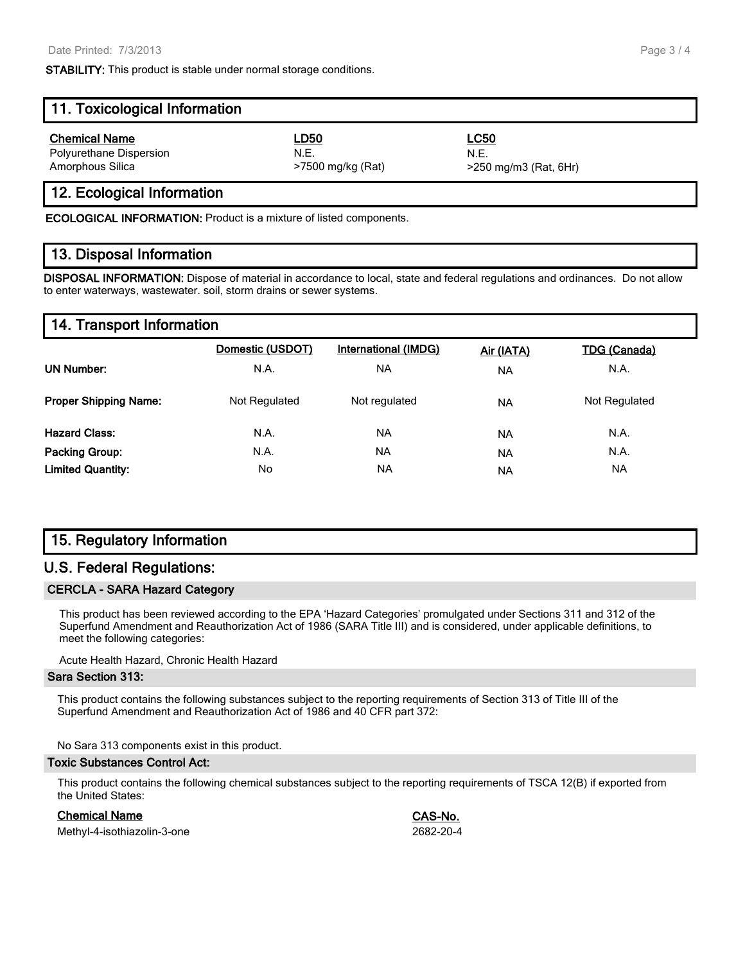**STABILITY:** This product is stable under normal storage conditions.

| 11. Toxicological Information |                   |                         |  |  |  |
|-------------------------------|-------------------|-------------------------|--|--|--|
| <b>Chemical Name</b>          | <u>LD50</u>       | <b>LC50</b>             |  |  |  |
| Polyurethane Dispersion       | N.E.              | N.F.                    |  |  |  |
| Amorphous Silica              | >7500 mg/kg (Rat) | $>250$ mg/m3 (Rat, 6Hr) |  |  |  |

## **12. Ecological Information**

**ECOLOGICAL INFORMATION:** Product is a mixture of listed components.

#### **13. Disposal Information**

**DISPOSAL INFORMATION:** Dispose of material in accordance to local, state and federal regulations and ordinances. Do not allow to enter waterways, wastewater. soil, storm drains or sewer systems.

#### **14. Transport Information**

|                              | Domestic (USDOT) | International (IMDG) | Air (IATA) | <b>TDG (Canada)</b> |
|------------------------------|------------------|----------------------|------------|---------------------|
| <b>UN Number:</b>            | N.A.             | NA                   | <b>NA</b>  | N.A.                |
| <b>Proper Shipping Name:</b> | Not Regulated    | Not regulated        | <b>NA</b>  | Not Regulated       |
| <b>Hazard Class:</b>         | N.A.             | <b>NA</b>            | <b>NA</b>  | N.A.                |
| <b>Packing Group:</b>        | N.A.             | <b>NA</b>            | <b>NA</b>  | N.A.                |
| <b>Limited Quantity:</b>     | No               | ΝA                   | <b>NA</b>  | NA                  |

## **15. Regulatory Information**

## **U.S. Federal Regulations:**

#### **CERCLA - SARA Hazard Category**

This product has been reviewed according to the EPA 'Hazard Categories' promulgated under Sections 311 and 312 of the Superfund Amendment and Reauthorization Act of 1986 (SARA Title III) and is considered, under applicable definitions, to meet the following categories:

Acute Health Hazard, Chronic Health Hazard

#### **Sara Section 313:**

This product contains the following substances subject to the reporting requirements of Section 313 of Title III of the Superfund Amendment and Reauthorization Act of 1986 and 40 CFR part 372:

No Sara 313 components exist in this product.

#### **Toxic Substances Control Act:**

This product contains the following chemical substances subject to the reporting requirements of TSCA 12(B) if exported from the United States:

#### **Chemical Name CAS-No.**

Methyl-4-isothiazolin-3-one 2682-20-4